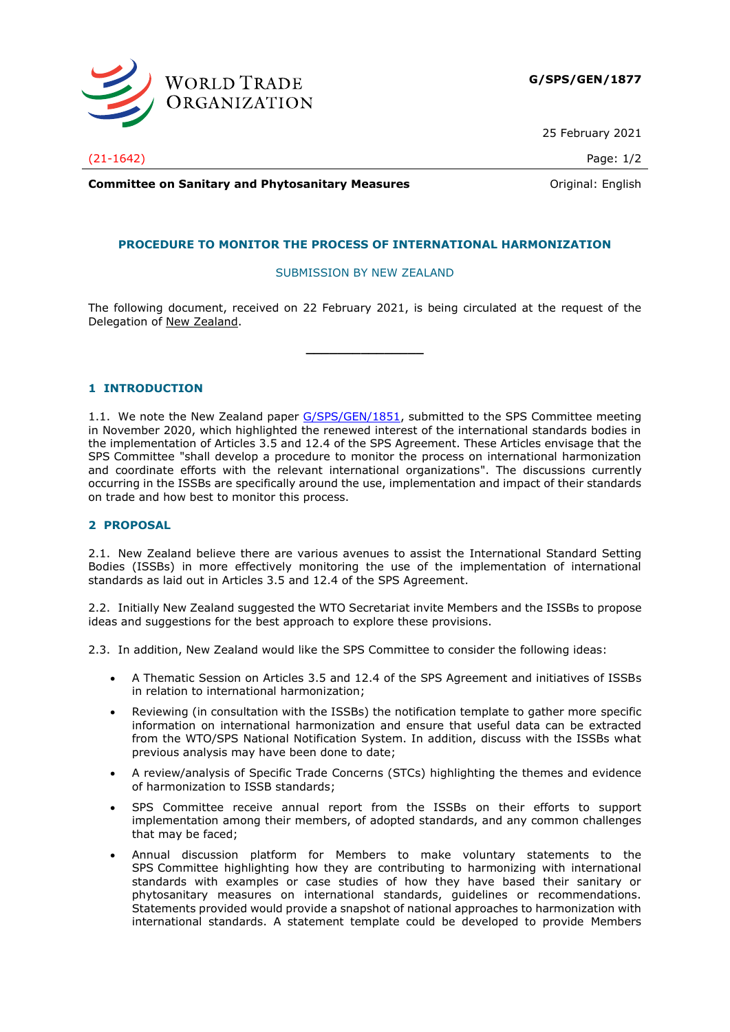

25 February 2021

**Committee on Sanitary and Phytosanitary Measures Committee on Sanitary and Phytosanitary Measures Committee And American** 

## **PROCEDURE TO MONITOR THE PROCESS OF INTERNATIONAL HARMONIZATION**

## SUBMISSION BY NEW ZEALAND

The following document, received on 22 February 2021, is being circulated at the request of the Delegation of New Zealand.

**\_\_\_\_\_\_\_\_\_\_\_\_\_\_\_**

## **1 INTRODUCTION**

1.1. We note the New Zealand paper [G/SPS/GEN/1851,](https://docs.wto.org/dol2fe/Pages/FE_Search/FE_S_S006.aspx?DataSource=Cat&query=@Symbol=%22G/SPS/GEN/1851%22%20OR%20@Symbol=%22G/SPS/GEN/1851/*%22&Language=English&Context=ScriptedSearches&languageUIChanged=true) submitted to the SPS Committee meeting in November 2020, which highlighted the renewed interest of the international standards bodies in the implementation of Articles 3.5 and 12.4 of the SPS Agreement. These Articles envisage that the SPS Committee "shall develop a procedure to monitor the process on international harmonization and coordinate efforts with the relevant international organizations". The discussions currently occurring in the ISSBs are specifically around the use, implementation and impact of their standards on trade and how best to monitor this process.

## **2 PROPOSAL**

2.1. New Zealand believe there are various avenues to assist the International Standard Setting Bodies (ISSBs) in more effectively monitoring the use of the implementation of international standards as laid out in Articles 3.5 and 12.4 of the SPS Agreement.

2.2. Initially New Zealand suggested the WTO Secretariat invite Members and the ISSBs to propose ideas and suggestions for the best approach to explore these provisions.

2.3. In addition, New Zealand would like the SPS Committee to consider the following ideas:

- A Thematic Session on Articles 3.5 and 12.4 of the SPS Agreement and initiatives of ISSBs in relation to international harmonization;
- Reviewing (in consultation with the ISSBs) the notification template to gather more specific information on international harmonization and ensure that useful data can be extracted from the WTO/SPS National Notification System. In addition, discuss with the ISSBs what previous analysis may have been done to date;
- A review/analysis of Specific Trade Concerns (STCs) highlighting the themes and evidence of harmonization to ISSB standards;
- SPS Committee receive annual report from the ISSBs on their efforts to support implementation among their members, of adopted standards, and any common challenges that may be faced;
- Annual discussion platform for Members to make voluntary statements to the SPS Committee highlighting how they are contributing to harmonizing with international standards with examples or case studies of how they have based their sanitary or phytosanitary measures on international standards, guidelines or recommendations. Statements provided would provide a snapshot of national approaches to harmonization with international standards. A statement template could be developed to provide Members

(21-1642) Page: 1/2